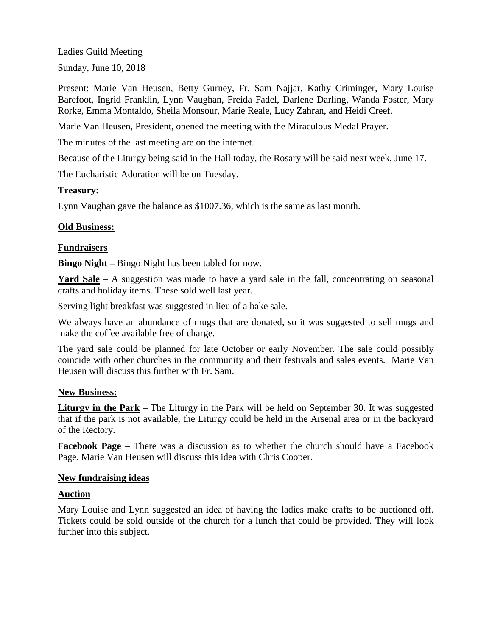Ladies Guild Meeting

Sunday, June 10, 2018

Present: Marie Van Heusen, Betty Gurney, Fr. Sam Najjar, Kathy Criminger, Mary Louise Barefoot, Ingrid Franklin, Lynn Vaughan, Freida Fadel, Darlene Darling, Wanda Foster, Mary Rorke, Emma Montaldo, Sheila Monsour, Marie Reale, Lucy Zahran, and Heidi Creef.

Marie Van Heusen, President, opened the meeting with the Miraculous Medal Prayer.

The minutes of the last meeting are on the internet.

Because of the Liturgy being said in the Hall today, the Rosary will be said next week, June 17.

The Eucharistic Adoration will be on Tuesday.

# **Treasury:**

Lynn Vaughan gave the balance as \$1007.36, which is the same as last month.

# **Old Business:**

# **Fundraisers**

**Bingo Night** – Bingo Night has been tabled for now.

Yard Sale – A suggestion was made to have a yard sale in the fall, concentrating on seasonal crafts and holiday items. These sold well last year.

Serving light breakfast was suggested in lieu of a bake sale.

We always have an abundance of mugs that are donated, so it was suggested to sell mugs and make the coffee available free of charge.

The yard sale could be planned for late October or early November. The sale could possibly coincide with other churches in the community and their festivals and sales events. Marie Van Heusen will discuss this further with Fr. Sam.

### **New Business:**

**Liturgy in the Park** – The Liturgy in the Park will be held on September 30. It was suggested that if the park is not available, the Liturgy could be held in the Arsenal area or in the backyard of the Rectory.

**Facebook Page** – There was a discussion as to whether the church should have a Facebook Page. Marie Van Heusen will discuss this idea with Chris Cooper.

### **New fundraising ideas**

### **Auction**

Mary Louise and Lynn suggested an idea of having the ladies make crafts to be auctioned off. Tickets could be sold outside of the church for a lunch that could be provided. They will look further into this subject.